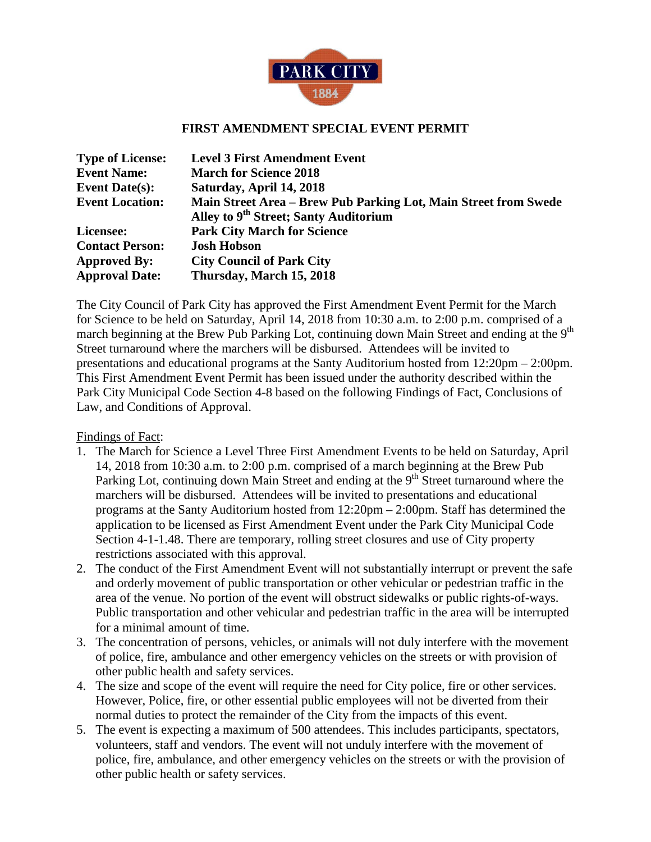

## **FIRST AMENDMENT SPECIAL EVENT PERMIT**

| <b>Type of License:</b> | <b>Level 3 First Amendment Event</b>                            |
|-------------------------|-----------------------------------------------------------------|
| <b>Event Name:</b>      | <b>March for Science 2018</b>                                   |
| <b>Event Date(s):</b>   | Saturday, April 14, 2018                                        |
| <b>Event Location:</b>  | Main Street Area - Brew Pub Parking Lot, Main Street from Swede |
|                         | Alley to 9 <sup>th</sup> Street; Santy Auditorium               |
| Licensee:               | <b>Park City March for Science</b>                              |
| <b>Contact Person:</b>  | <b>Josh Hobson</b>                                              |
| <b>Approved By:</b>     | <b>City Council of Park City</b>                                |
| <b>Approval Date:</b>   | Thursday, March 15, 2018                                        |

The City Council of Park City has approved the First Amendment Event Permit for the March for Science to be held on Saturday, April 14, 2018 from 10:30 a.m. to 2:00 p.m. comprised of a march beginning at the Brew Pub Parking Lot, continuing down Main Street and ending at the 9<sup>th</sup> Street turnaround where the marchers will be disbursed. Attendees will be invited to presentations and educational programs at the Santy Auditorium hosted from 12:20pm – 2:00pm. This First Amendment Event Permit has been issued under the authority described within the Park City Municipal Code Section 4-8 based on the following Findings of Fact, Conclusions of Law, and Conditions of Approval.

Findings of Fact:

- 1. The March for Science a Level Three First Amendment Events to be held on Saturday, April 14, 2018 from 10:30 a.m. to 2:00 p.m. comprised of a march beginning at the Brew Pub Parking Lot, continuing down Main Street and ending at the 9<sup>th</sup> Street turnaround where the marchers will be disbursed. Attendees will be invited to presentations and educational programs at the Santy Auditorium hosted from 12:20pm – 2:00pm. Staff has determined the application to be licensed as First Amendment Event under the Park City Municipal Code Section 4-1-1.48. There are temporary, rolling street closures and use of City property restrictions associated with this approval.
- 2. The conduct of the First Amendment Event will not substantially interrupt or prevent the safe and orderly movement of public transportation or other vehicular or pedestrian traffic in the area of the venue. No portion of the event will obstruct sidewalks or public rights-of-ways. Public transportation and other vehicular and pedestrian traffic in the area will be interrupted for a minimal amount of time.
- 3. The concentration of persons, vehicles, or animals will not duly interfere with the movement of police, fire, ambulance and other emergency vehicles on the streets or with provision of other public health and safety services.
- 4. The size and scope of the event will require the need for City police, fire or other services. However, Police, fire, or other essential public employees will not be diverted from their normal duties to protect the remainder of the City from the impacts of this event.
- 5. The event is expecting a maximum of 500 attendees. This includes participants, spectators, volunteers, staff and vendors. The event will not unduly interfere with the movement of police, fire, ambulance, and other emergency vehicles on the streets or with the provision of other public health or safety services.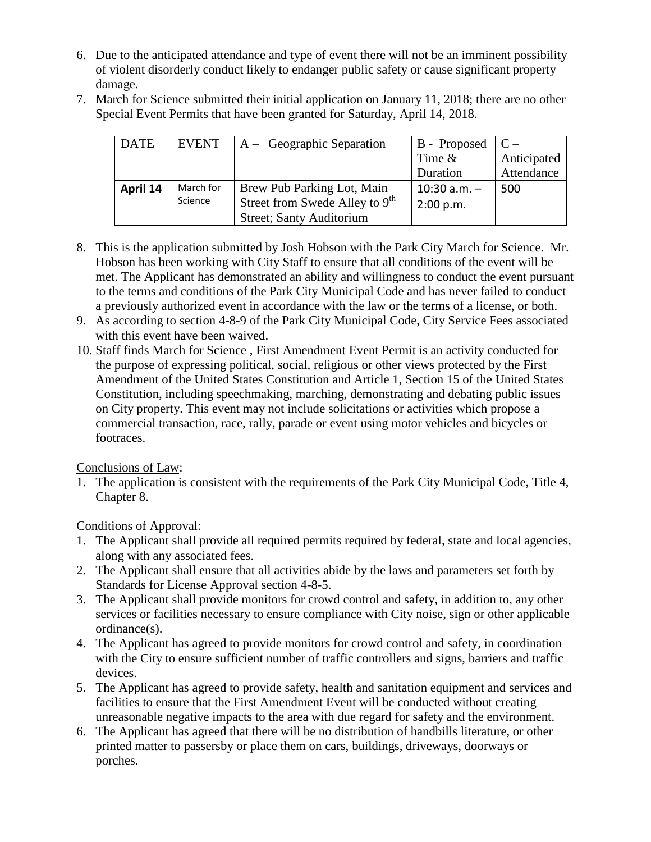- 6. Due to the anticipated attendance and type of event there will not be an imminent possibility of violent disorderly conduct likely to endanger public safety or cause significant property damage.
- 7. March for Science submitted their initial application on January 11, 2018; there are no other Special Event Permits that have been granted for Saturday, April 14, 2018.

| <b>DATE</b> | <b>EVENT</b> | $A - Geographic Separation$      | B - Proposed $\mathcal{C}$ – |             |
|-------------|--------------|----------------------------------|------------------------------|-------------|
|             |              |                                  | Time $\&$                    | Anticipated |
|             |              |                                  | Duration                     | Attendance  |
| April 14    | March for    | Brew Pub Parking Lot, Main       | $10:30$ a.m. $-$             | 500         |
|             | Science      | Street from Swede Alley to $9th$ | 2:00 p.m.                    |             |
|             |              | <b>Street</b> ; Santy Auditorium |                              |             |

- 8. This is the application submitted by Josh Hobson with the Park City March for Science. Mr. Hobson has been working with City Staff to ensure that all conditions of the event will be met. The Applicant has demonstrated an ability and willingness to conduct the event pursuant to the terms and conditions of the Park City Municipal Code and has never failed to conduct a previously authorized event in accordance with the law or the terms of a license, or both.
- 9. As according to section 4-8-9 of the Park City Municipal Code, City Service Fees associated with this event have been waived.
- 10. Staff finds March for Science , First Amendment Event Permit is an activity conducted for the purpose of expressing political, social, religious or other views protected by the First Amendment of the United States Constitution and Article 1, Section 15 of the United States Constitution, including speechmaking, marching, demonstrating and debating public issues on City property. This event may not include solicitations or activities which propose a commercial transaction, race, rally, parade or event using motor vehicles and bicycles or footraces.

Conclusions of Law:

1. The application is consistent with the requirements of the Park City Municipal Code, Title 4, Chapter 8.

Conditions of Approval:

- 1. The Applicant shall provide all required permits required by federal, state and local agencies, along with any associated fees.
- 2. The Applicant shall ensure that all activities abide by the laws and parameters set forth by Standards for License Approval section 4-8-5.
- 3. The Applicant shall provide monitors for crowd control and safety, in addition to, any other services or facilities necessary to ensure compliance with City noise, sign or other applicable ordinance(s).
- 4. The Applicant has agreed to provide monitors for crowd control and safety, in coordination with the City to ensure sufficient number of traffic controllers and signs, barriers and traffic devices.
- 5. The Applicant has agreed to provide safety, health and sanitation equipment and services and facilities to ensure that the First Amendment Event will be conducted without creating unreasonable negative impacts to the area with due regard for safety and the environment.
- 6. The Applicant has agreed that there will be no distribution of handbills literature, or other printed matter to passersby or place them on cars, buildings, driveways, doorways or porches.